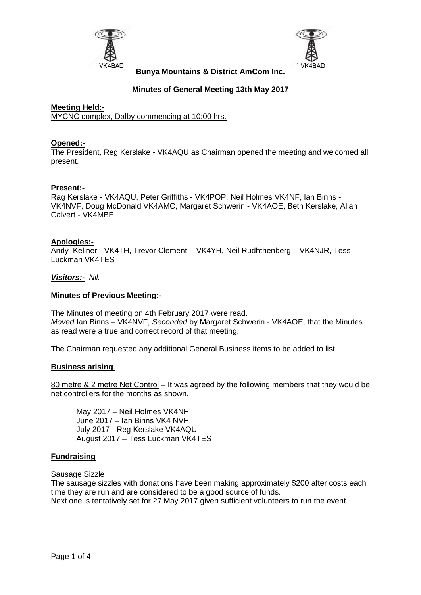



# **Minutes of General Meeting 13th May 2017**

### **Meeting Held:-** MYCNC complex, Dalby commencing at 10:00 hrs.

## **Opened:-**

The President, Reg Kerslake - VK4AQU as Chairman opened the meeting and welcomed all present.

### **Present:-**

Rag Kerslake - VK4AQU, Peter Griffiths - VK4POP, Neil Holmes VK4NF, Ian Binns - VK4NVF, Doug McDonald VK4AMC, Margaret Schwerin - VK4AOE, Beth Kerslake, Allan Calvert - VK4MBE

### **Apologies:-**

Andy Kellner - VK4TH, Trevor Clement - VK4YH, Neil Rudhthenberg – VK4NJR, Tess Luckman VK4TES

### *Visitors:- Nil.*

### **Minutes of Previous Meeting:-**

The Minutes of meeting on 4th February 2017 were read. *Moved* Ian Binns – VK4NVF, *Seconded* by Margaret Schwerin - VK4AOE, that the Minutes as read were a true and correct record of that meeting.

The Chairman requested any additional General Business items to be added to list.

#### **Business arising**.

80 metre & 2 metre Net Control – It was agreed by the following members that they would be net controllers for the months as shown.

May 2017 – Neil Holmes VK4NF June 2017 – Ian Binns VK4 NVF July 2017 - Reg Kerslake VK4AQU August 2017 – Tess Luckman VK4TES

#### **Fundraising**

#### Sausage Sizzle

The sausage sizzles with donations have been making approximately \$200 after costs each time they are run and are considered to be a good source of funds. Next one is tentatively set for 27 May 2017 given sufficient volunteers to run the event.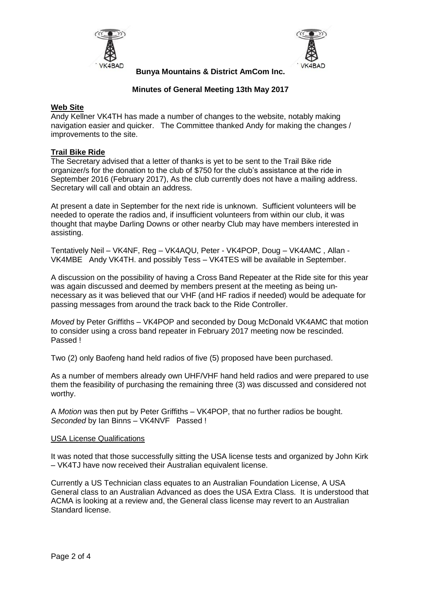



# **Minutes of General Meeting 13th May 2017**

### **Web Site**

Andy Kellner VK4TH has made a number of changes to the website, notably making navigation easier and quicker. The Committee thanked Andy for making the changes / improvements to the site.

## **Trail Bike Ride**

The Secretary advised that a letter of thanks is yet to be sent to the Trail Bike ride organizer/s for the donation to the club of \$750 for the club's assistance at the ride in September 2016 (February 2017), As the club currently does not have a mailing address. Secretary will call and obtain an address.

At present a date in September for the next ride is unknown. Sufficient volunteers will be needed to operate the radios and, if insufficient volunteers from within our club, it was thought that maybe Darling Downs or other nearby Club may have members interested in assisting.

Tentatively Neil – VK4NF, Reg – VK4AQU, Peter - VK4POP, Doug – VK4AMC , Allan - VK4MBE Andy VK4TH. and possibly Tess – VK4TES will be available in September.

A discussion on the possibility of having a Cross Band Repeater at the Ride site for this year was again discussed and deemed by members present at the meeting as being unnecessary as it was believed that our VHF (and HF radios if needed) would be adequate for passing messages from around the track back to the Ride Controller.

*Moved* by Peter Griffiths – VK4POP and seconded by Doug McDonald VK4AMC that motion to consider using a cross band repeater in February 2017 meeting now be rescinded. Passed !

Two (2) only Baofeng hand held radios of five (5) proposed have been purchased.

As a number of members already own UHF/VHF hand held radios and were prepared to use them the feasibility of purchasing the remaining three (3) was discussed and considered not worthy.

A *Motion* was then put by Peter Griffiths – VK4POP, that no further radios be bought. *Seconded* by Ian Binns – VK4NVF Passed !

#### USA License Qualifications

It was noted that those successfully sitting the USA license tests and organized by John Kirk – VK4TJ have now received their Australian equivalent license.

Currently a US Technician class equates to an Australian Foundation License, A USA General class to an Australian Advanced as does the USA Extra Class. It is understood that ACMA is looking at a review and, the General class license may revert to an Australian Standard license.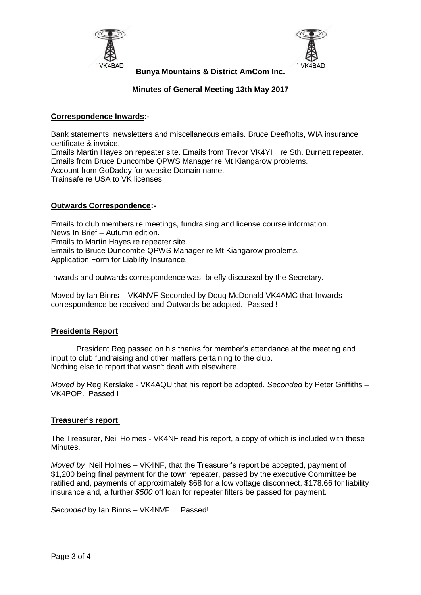



# **Minutes of General Meeting 13th May 2017**

# **Correspondence Inwards:-**

Bank statements, newsletters and miscellaneous emails. Bruce Deefholts, WIA insurance certificate & invoice.

Emails Martin Hayes on repeater site. Emails from Trevor VK4YH re Sth. Burnett repeater. Emails from Bruce Duncombe QPWS Manager re Mt Kiangarow problems. Account from GoDaddy for website Domain name. Trainsafe re USA to VK licenses.

## **Outwards Correspondence:-**

Emails to club members re meetings, fundraising and license course information. News In Brief – Autumn edition. Emails to Martin Hayes re repeater site. Emails to Bruce Duncombe QPWS Manager re Mt Kiangarow problems. Application Form for Liability Insurance.

Inwards and outwards correspondence was briefly discussed by the Secretary.

Moved by Ian Binns – VK4NVF Seconded by Doug McDonald VK4AMC that Inwards correspondence be received and Outwards be adopted. Passed !

## **Presidents Report**

President Reg passed on his thanks for member's attendance at the meeting and input to club fundraising and other matters pertaining to the club. Nothing else to report that wasn't dealt with elsewhere.

*Moved* by Reg Kerslake - VK4AQU that his report be adopted. *Seconded* by Peter Griffiths – VK4POP. Passed !

## **Treasurer's report**.

The Treasurer, Neil Holmes - VK4NF read his report, a copy of which is included with these Minutes.

*Moved by* Neil Holmes – VK4NF, that the Treasurer's report be accepted, payment of \$1,200 being final payment for the town repeater, passed by the executive Committee be ratified and, payments of approximately \$68 for a low voltage disconnect, \$178.66 for liability insurance and, a further *\$500* off loan for repeater filters be passed for payment.

*Seconded* by Ian Binns – VK4NVF Passed!